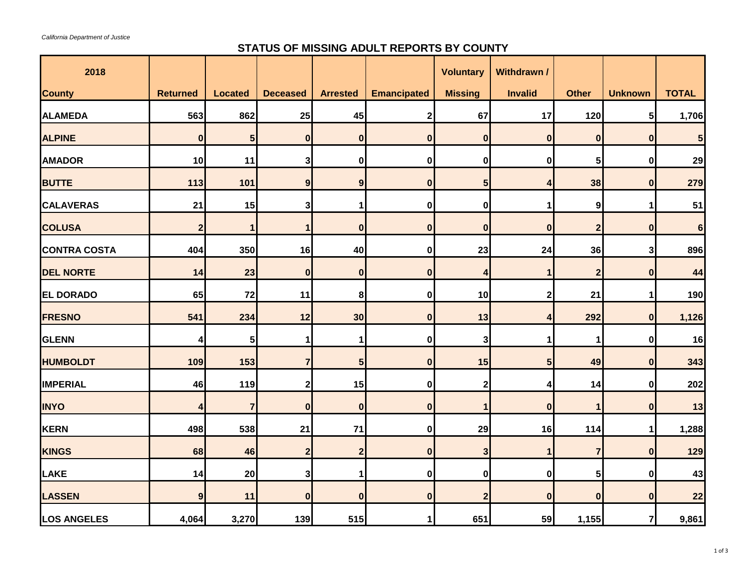## **STATUS OF MISSING ADULT REPORTS BY COUNTY**

| 2018                |                         |                |                  |                         |                    | <b>Voluntary</b> | Withdrawn /    |                |                  |              |
|---------------------|-------------------------|----------------|------------------|-------------------------|--------------------|------------------|----------------|----------------|------------------|--------------|
| <b>County</b>       | <b>Returned</b>         | <b>Located</b> | <b>Deceased</b>  | <b>Arrested</b>         | <b>Emancipated</b> | <b>Missing</b>   | <b>Invalid</b> | <b>Other</b>   | <b>Unknown</b>   | <b>TOTAL</b> |
| <b>ALAMEDA</b>      | 563                     | 862            | 25               | 45                      | $\mathbf{2}$       | 67               | 17             | 120            | 5                | 1,706        |
| <b>ALPINE</b>       | $\bf{0}$                | $5\phantom{1}$ | $\bf{0}$         | $\bf{0}$                | $\mathbf 0$        | $\bf{0}$         | $\bf{0}$       | $\bf{0}$       | $\bf{0}$         | 5            |
| <b>AMADOR</b>       | 10                      | 11             | 3                | 0                       | $\mathbf 0$        | 0                | $\bf{0}$       | 5              | $\pmb{0}$        | 29           |
| <b>BUTTE</b>        | 113                     | 101            | $\boldsymbol{9}$ | $\boldsymbol{9}$        | $\bf{0}$           | 5                |                | 38             | $\bf{0}$         | 279          |
| <b>CALAVERAS</b>    | 21                      | 15             | $\mathbf{3}$     | 1                       | 0                  | 0                | 1              | 9              | 1                | 51           |
| <b>COLUSA</b>       | $\overline{\mathbf{2}}$ | 1              | 1                | $\bf{0}$                | $\bf{0}$           | $\bf{0}$         | $\bf{0}$       | $\overline{2}$ | $\bf{0}$         | $\bf 6$      |
| <b>CONTRA COSTA</b> | 404                     | 350            | 16               | 40                      | $\mathbf{0}$       | 23               | 24             | 36             | 3                | 896          |
| <b>DEL NORTE</b>    | 14                      | 23             | $\pmb{0}$        | $\bf{0}$                | $\bf{0}$           | 4                |                | $\overline{2}$ | $\bf{0}$         | 44           |
| <b>EL DORADO</b>    | 65                      | 72             | 11               | 8                       | 0                  | 10               | 2              | 21             | 1                | 190          |
| <b>FRESNO</b>       | 541                     | 234            | 12               | 30                      | $\bf{0}$           | 13               |                | 292            | $\bf{0}$         | 1,126        |
| <b>GLENN</b>        | 4                       | 5              | 1                | 1                       | 0                  | 3                | 1              | 1              | 0                | 16           |
| <b>HUMBOLDT</b>     | 109                     | 153            | $\overline{7}$   | 5                       | $\bf{0}$           | 15               | 5              | 49             | $\bf{0}$         | 343          |
| <b>IMPERIAL</b>     | 46                      | 119            | $\boldsymbol{2}$ | 15                      | $\bf{0}$           | 2                | 4              | 14             | $\mathbf 0$      | 202          |
| <b>INYO</b>         | 4                       | $\overline{7}$ | $\bf{0}$         | $\bf{0}$                | $\bf{0}$           | 1                | $\bf{0}$       | $\mathbf{1}$   | $\bf{0}$         | 13           |
| <b>KERN</b>         | 498                     | 538            | 21               | 71                      | $\mathbf{0}$       | 29               | 16             | 114            | 1                | 1,288        |
| <b>KINGS</b>        | 68                      | 46             | $\overline{2}$   | $\overline{\mathbf{2}}$ | $\mathbf{0}$       | 3                |                | $\overline{7}$ | $\bf{0}$         | 129          |
| <b>LAKE</b>         | 14                      | 20             | $\mathbf{3}$     | 1                       | 0                  | $\mathbf 0$      | 0              | 5              | $\mathbf 0$      | 43           |
| <b>LASSEN</b>       | $\boldsymbol{9}$        | 11             | $\bf{0}$         | $\bf{0}$                | $\bf{0}$           | $\mathbf{2}$     | $\bf{0}$       | $\bf{0}$       | $\boldsymbol{0}$ | 22           |
| <b>LOS ANGELES</b>  | 4,064                   | 3,270          | 139              | 515                     |                    | 651              | 59             | 1,155          | $\overline{7}$   | 9,861        |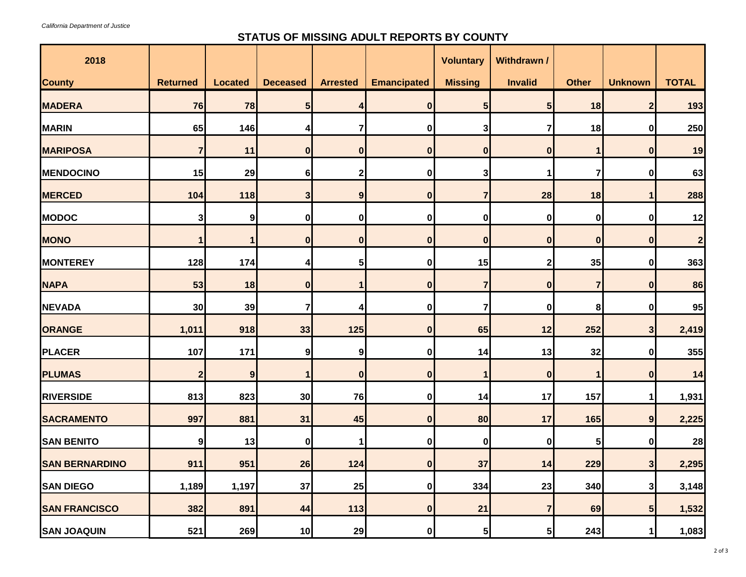## **STATUS OF MISSING ADULT REPORTS BY COUNTY**

| 2018                  |                 |                |                 |                 |                    | <b>Voluntary</b> | Withdrawn /    |                |                 |              |
|-----------------------|-----------------|----------------|-----------------|-----------------|--------------------|------------------|----------------|----------------|-----------------|--------------|
| <b>County</b>         | <b>Returned</b> | <b>Located</b> | <b>Deceased</b> | <b>Arrested</b> | <b>Emancipated</b> | <b>Missing</b>   | <b>Invalid</b> | <b>Other</b>   | <b>Unknown</b>  | <b>TOTAL</b> |
| <b>MADERA</b>         | 76              | 78             | 5 <sub>5</sub>  |                 | 0                  | 5                | 5              | 18             | $\mathbf{2}$    | 193          |
| <b>MARIN</b>          | 65              | 146            |                 | 7               | $\mathbf 0$        | 3                |                | 18             | 0               | 250          |
| <b>MARIPOSA</b>       | $\overline{7}$  | 11             | $\bf{0}$        | $\bf{0}$        | 0                  | $\mathbf{0}$     | $\bf{0}$       | 1              | $\bf{0}$        | 19           |
| <b>MENDOCINO</b>      | 15              | 29             | 6               | 2               | $\mathbf 0$        | 3                |                | 7              | 0               | 63           |
| <b>MERCED</b>         | 104             | 118            | 3 <sup>1</sup>  | 9               | $\mathbf{0}$       | 7                | 28             | 18             | 1               | 288          |
| <b>MODOC</b>          | $\mathbf{3}$    | 9              | $\pmb{0}$       | $\bf{0}$        | $\mathbf 0$        | 0                | 0              | $\bf{0}$       | 0               | 12           |
| <b>MONO</b>           |                 |                | $\bf{0}$        | $\bf{0}$        | $\mathbf 0$        | $\bf{0}$         | $\bf{0}$       | $\bf{0}$       | $\bf{0}$        | $\mathbf{2}$ |
| <b>MONTEREY</b>       | 128             | 174            | 4               | 5               | $\mathbf 0$        | 15               | 2              | 35             | 0               | 363          |
| <b>NAPA</b>           | 53              | 18             | $\mathbf{0}$    | 1               | $\mathbf{0}$       | 7                | $\bf{0}$       | $\overline{7}$ | 0               | 86           |
| <b>NEVADA</b>         | 30              | 39             | 7               | 4               | $\mathbf 0$        | 7                | 0              | 8              | 0               | 95           |
| <b>ORANGE</b>         | 1,011           | 918            | 33              | 125             | $\mathbf{0}$       | 65               | 12             | 252            | $\mathbf{3}$    | 2,419        |
| <b>PLACER</b>         | 107             | 171            | 9               | 9               | $\mathbf 0$        | 14               | 13             | 32             | 0               | 355          |
| <b>PLUMAS</b>         | $\overline{2}$  | 9              | 1               | $\bf{0}$        | 0                  | 1                | $\bf{0}$       | 1              | $\bf{0}$        | 14           |
| <b>RIVERSIDE</b>      | 813             | 823            | 30 <sub>0</sub> | 76              | 0                  | 14               | 17             | 157            | 1               | 1,931        |
| <b>SACRAMENTO</b>     | 997             | 881            | 31              | 45              | 0                  | 80               | 17             | 165            | 9               | 2,225        |
| <b>SAN BENITO</b>     | 9               | 13             | $\mathbf{0}$    | 1               | 0                  | $\mathbf 0$      | $\mathbf{0}$   | 5              | 0               | 28           |
| <b>SAN BERNARDINO</b> | 911             | 951            | 26              | 124             | $\mathbf{0}$       | 37               | 14             | 229            | 3 <sub>l</sub>  | 2,295        |
| <b>SAN DIEGO</b>      | 1,189           | 1,197          | 37              | 25              | 0                  | 334              | 23             | 340            | 3               | 3,148        |
| <b>SAN FRANCISCO</b>  | 382             | 891            | 44              | 113             | 0                  | 21               | $\overline{7}$ | 69             | $5\overline{)}$ | 1,532        |
| <b>SAN JOAQUIN</b>    | 521             | 269            | 10              | 29              | 0                  | $5\overline{)}$  | 5              | 243            | 1               | 1,083        |